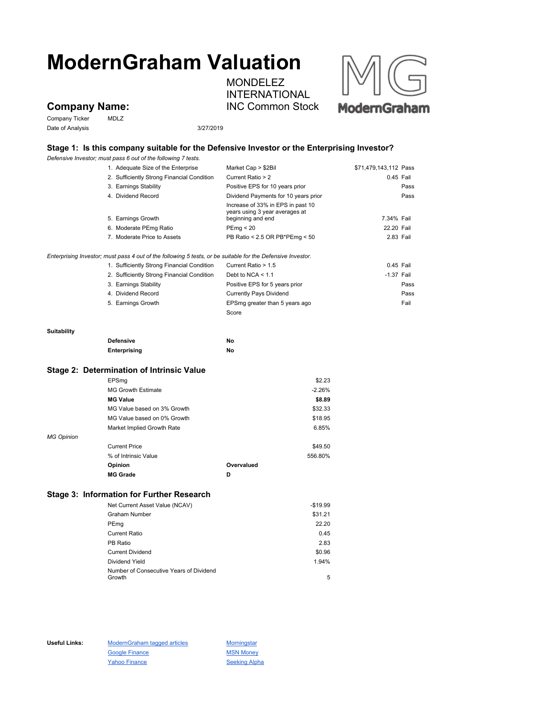# **ModernGraham Valuation**

MONDELEZ INTERNATIONAL INC Common Stock



## **Company Name:**

Company Ticker MDLZ Date of Analysis 3/27/2019

### **Stage 1: Is this company suitable for the Defensive Investor or the Enterprising Investor?**

*Defensive Investor; must pass 6 out of the following 7 tests.*

|                   | 1. Adequate Size of the Enterprise                                                                          | Market Cap > \$2Bil                                                                      | \$71,479,143,112 Pass |
|-------------------|-------------------------------------------------------------------------------------------------------------|------------------------------------------------------------------------------------------|-----------------------|
|                   | 2. Sufficiently Strong Financial Condition                                                                  | Current Ratio > 2                                                                        | 0.45 Fail             |
|                   | 3. Earnings Stability                                                                                       | Positive EPS for 10 years prior                                                          | Pass                  |
|                   | 4. Dividend Record                                                                                          | Dividend Payments for 10 years prior                                                     | Pass                  |
|                   | 5. Earnings Growth                                                                                          | Increase of 33% in EPS in past 10<br>years using 3 year averages at<br>beginning and end | 7.34% Fail            |
|                   | 6. Moderate PEmg Ratio                                                                                      | PEmp < 20                                                                                | 22.20 Fail            |
|                   | 7. Moderate Price to Assets                                                                                 | PB Ratio < 2.5 OR PB*PEmg < 50                                                           | 2.83 Fail             |
|                   | Enterprising Investor; must pass 4 out of the following 5 tests, or be suitable for the Defensive Investor. |                                                                                          |                       |
|                   | 1. Sufficiently Strong Financial Condition                                                                  | Current Ratio > 1.5                                                                      | 0.45 Fail             |
|                   | 2. Sufficiently Strong Financial Condition                                                                  | Debt to NCA $<$ 1.1                                                                      | $-1.37$ Fail          |
|                   | 3. Earnings Stability                                                                                       | Positive EPS for 5 years prior                                                           | Pass                  |
|                   | 4. Dividend Record                                                                                          | <b>Currently Pays Dividend</b>                                                           | Pass                  |
|                   | 5. Earnings Growth                                                                                          | EPSmg greater than 5 years ago                                                           | Fail                  |
|                   |                                                                                                             | Score                                                                                    |                       |
| Suitability       |                                                                                                             |                                                                                          |                       |
|                   | <b>Defensive</b>                                                                                            | No                                                                                       |                       |
|                   | <b>Enterprising</b>                                                                                         | No                                                                                       |                       |
|                   | Stage 2: Determination of Intrinsic Value                                                                   |                                                                                          |                       |
|                   | EPSmg                                                                                                       | \$2.23                                                                                   |                       |
|                   | <b>MG Growth Estimate</b>                                                                                   | $-2.26%$                                                                                 |                       |
|                   | <b>MG Value</b>                                                                                             | \$8.89                                                                                   |                       |
|                   | MG Value based on 3% Growth                                                                                 | \$32.33                                                                                  |                       |
|                   | MG Value based on 0% Growth                                                                                 | \$18.95                                                                                  |                       |
|                   | Market Implied Growth Rate                                                                                  | 6.85%                                                                                    |                       |
| <b>MG Opinion</b> |                                                                                                             |                                                                                          |                       |
|                   | <b>Current Price</b>                                                                                        | \$49.50                                                                                  |                       |
|                   | % of Intrinsic Value                                                                                        | 556.80%                                                                                  |                       |
|                   | Opinion                                                                                                     | Overvalued                                                                               |                       |
|                   | <b>MG Grade</b>                                                                                             | D                                                                                        |                       |
|                   | <b>Stage 3: Information for Further Research</b>                                                            |                                                                                          |                       |
|                   | Net Current Asset Value (NCAV)                                                                              | $-$19.99$                                                                                |                       |
|                   | <b>Graham Number</b>                                                                                        | \$31.21                                                                                  |                       |
|                   | PEmg                                                                                                        | 22.20                                                                                    |                       |
|                   | <b>Current Ratio</b>                                                                                        | 0.45                                                                                     |                       |
|                   | PB Ratio                                                                                                    | 2.83                                                                                     |                       |
|                   | <b>Current Dividend</b>                                                                                     | \$0.96                                                                                   |                       |
|                   | Dividend Yield                                                                                              | 1.94%                                                                                    |                       |

Growth **5** 

Useful Links: ModernGraham tagged articles Morningstar Google Finance MSN Money Yahoo Finance Seeking Alpha

Number of Consecutive Years of Dividend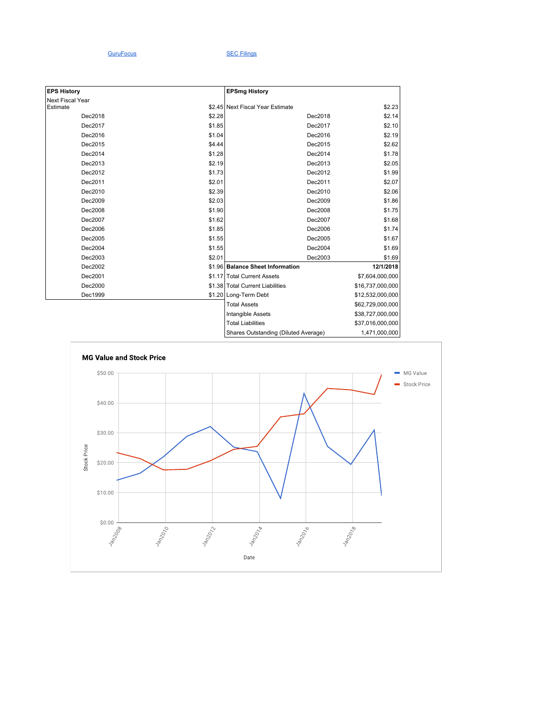#### GuruFocus SEC Filings

| <b>EPS History</b> |        | <b>EPSmg History</b>                 |                  |
|--------------------|--------|--------------------------------------|------------------|
| Next Fiscal Year   |        |                                      |                  |
| Estimate           |        | \$2.45 Next Fiscal Year Estimate     | \$2.23           |
| Dec2018            | \$2.28 | Dec2018                              | \$2.14           |
| Dec2017            | \$1.85 | Dec2017                              | \$2.10           |
| Dec2016            | \$1.04 | Dec2016                              | \$2.19           |
| Dec2015            | \$4.44 | Dec2015                              | \$2.62           |
| Dec2014            | \$1.28 | Dec2014                              | \$1.78           |
| Dec2013            | \$2.19 | Dec2013                              | \$2.05           |
| Dec2012            | \$1.73 | Dec2012                              | \$1.99           |
| Dec2011            | \$2.01 | Dec2011                              | \$2.07           |
| Dec2010            | \$2.39 | Dec2010                              | \$2.06           |
| Dec2009            | \$2.03 | Dec2009                              | \$1.86           |
| Dec2008            | \$1.90 | Dec2008                              | \$1.75           |
| Dec2007            | \$1.62 | Dec2007                              | \$1.68           |
| Dec2006            | \$1.85 | Dec2006                              | \$1.74           |
| Dec2005            | \$1.55 | Dec2005                              | \$1.67           |
| Dec2004            | \$1.55 | Dec2004                              | \$1.69           |
| Dec2003            | \$2.01 | Dec2003                              | \$1.69           |
| Dec2002            |        | \$1.96 Balance Sheet Information     | 12/1/2018        |
| Dec2001            |        | \$1.17 Total Current Assets          | \$7,604,000,000  |
| Dec2000            |        | \$1.38 Total Current Liabilities     | \$16,737,000,000 |
| Dec1999            |        | \$1.20 Long-Term Debt                | \$12,532,000,000 |
|                    |        | <b>Total Assets</b>                  | \$62,729,000,000 |
|                    |        | Intangible Assets                    | \$38,727,000,000 |
|                    |        | <b>Total Liabilities</b>             | \$37,016,000,000 |
|                    |        | Shares Outstanding (Diluted Average) | 1,471,000,000    |